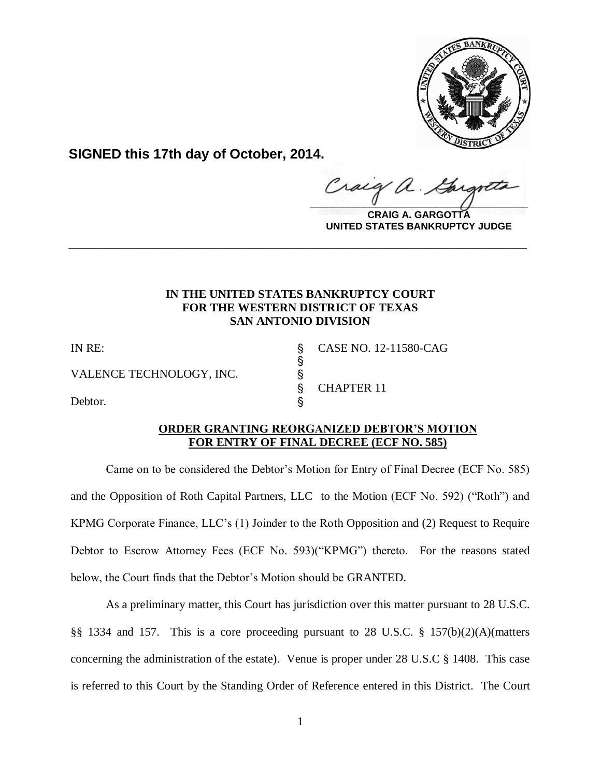

**SIGNED this 17th day of October, 2014.**

Craig  $\frac{1}{2}$ 

**CRAIG A. GARGOTTA UNITED STATES BANKRUPTCY JUDGE**

## **IN THE UNITED STATES BANKRUPTCY COURT FOR THE WESTERN DISTRICT OF TEXAS SAN ANTONIO DIVISION**

**\_\_\_\_\_\_\_\_\_\_\_\_\_\_\_\_\_\_\_\_\_\_\_\_\_\_\_\_\_\_\_\_\_\_\_\_\_\_\_\_\_\_\_\_\_\_\_\_\_\_\_\_\_\_\_\_\_\_\_\_**

 $\S$ 

VALENCE TECHNOLOGY, INC. \

Debtor.

IN RE: ' CASE NO. 12-11580-CAG § CHAPTER 11

### **ORDER GRANTING REORGANIZED DEBTOR'S MOTION FOR ENTRY OF FINAL DECREE (ECF NO. 585)**

Came on to be considered the Debtor's Motion for Entry of Final Decree (ECF No. 585) and the Opposition of Roth Capital Partners, LLC to the Motion (ECF No. 592) ("Roth") and KPMG Corporate Finance, LLC's (1) Joinder to the Roth Opposition and (2) Request to Require Debtor to Escrow Attorney Fees (ECF No. 593)("KPMG") thereto. For the reasons stated below, the Court finds that the Debtor's Motion should be GRANTED.

As a preliminary matter, this Court has jurisdiction over this matter pursuant to 28 U.S.C. §§ 1334 and 157. This is a core proceeding pursuant to 28 U.S.C. § 157(b)(2)(A)(matters concerning the administration of the estate). Venue is proper under 28 U.S.C § 1408. This case is referred to this Court by the Standing Order of Reference entered in this District. The Court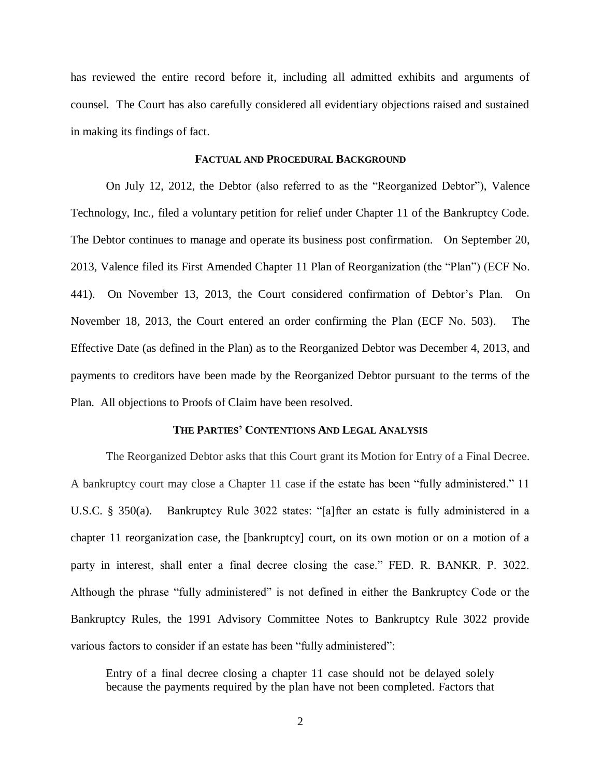has reviewed the entire record before it, including all admitted exhibits and arguments of counsel. The Court has also carefully considered all evidentiary objections raised and sustained in making its findings of fact.

#### **FACTUAL AND PROCEDURAL BACKGROUND**

On July 12, 2012, the Debtor (also referred to as the "Reorganized Debtor"), Valence Technology, Inc., filed a voluntary petition for relief under Chapter 11 of the Bankruptcy Code. The Debtor continues to manage and operate its business post confirmation. On September 20, 2013, Valence filed its First Amended Chapter 11 Plan of Reorganization (the "Plan") (ECF No. 441). On November 13, 2013, the Court considered confirmation of Debtor's Plan. On November 18, 2013, the Court entered an order confirming the Plan (ECF No. 503). The Effective Date (as defined in the Plan) as to the Reorganized Debtor was December 4, 2013, and payments to creditors have been made by the Reorganized Debtor pursuant to the terms of the Plan. All objections to Proofs of Claim have been resolved.

#### **THE PARTIES' CONTENTIONS AND LEGAL ANALYSIS**

The Reorganized Debtor asks that this Court grant its Motion for Entry of a Final Decree. A bankruptcy court may close a Chapter 11 case if the estate has been "fully administered." 11 U.S.C. § 350(a). Bankruptcy Rule 3022 states: "[a]fter an estate is fully administered in a chapter 11 reorganization case, the [bankruptcy] court, on its own motion or on a motion of a party in interest, shall enter a final decree closing the case." FED. R. BANKR. P. 3022. Although the phrase "fully administered" is not defined in either the Bankruptcy Code or the Bankruptcy Rules, the 1991 Advisory Committee Notes to Bankruptcy Rule 3022 provide various factors to consider if an estate has been "fully administered":

Entry of a final decree closing a chapter 11 case should not be delayed solely because the payments required by the plan have not been completed. Factors that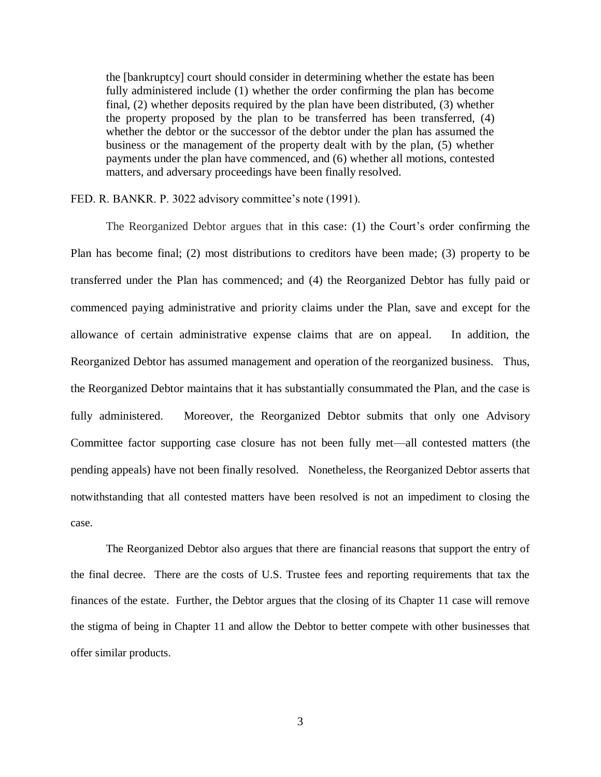the [bankruptcy] court should consider in determining whether the estate has been fully administered include (1) whether the order confirming the plan has become final, (2) whether deposits required by the plan have been distributed, (3) whether the property proposed by the plan to be transferred has been transferred, (4) whether the debtor or the successor of the debtor under the plan has assumed the business or the management of the property dealt with by the plan, (5) whether payments under the plan have commenced, and (6) whether all motions, contested matters, and adversary proceedings have been finally resolved.

FED. R. BANKR. P. 3022 advisory committee's note (1991).

The Reorganized Debtor argues that in this case: (1) the Court's order confirming the Plan has become final; (2) most distributions to creditors have been made; (3) property to be transferred under the Plan has commenced; and (4) the Reorganized Debtor has fully paid or commenced paying administrative and priority claims under the Plan, save and except for the allowance of certain administrative expense claims that are on appeal. In addition, the Reorganized Debtor has assumed management and operation of the reorganized business. Thus, the Reorganized Debtor maintains that it has substantially consummated the Plan, and the case is fully administered. Moreover, the Reorganized Debtor submits that only one Advisory Committee factor supporting case closure has not been fully met—all contested matters (the pending appeals) have not been finally resolved. Nonetheless, the Reorganized Debtor asserts that notwithstanding that all contested matters have been resolved is not an impediment to closing the case.

The Reorganized Debtor also argues that there are financial reasons that support the entry of the final decree. There are the costs of U.S. Trustee fees and reporting requirements that tax the finances of the estate. Further, the Debtor argues that the closing of its Chapter 11 case will remove the stigma of being in Chapter 11 and allow the Debtor to better compete with other businesses that offer similar products.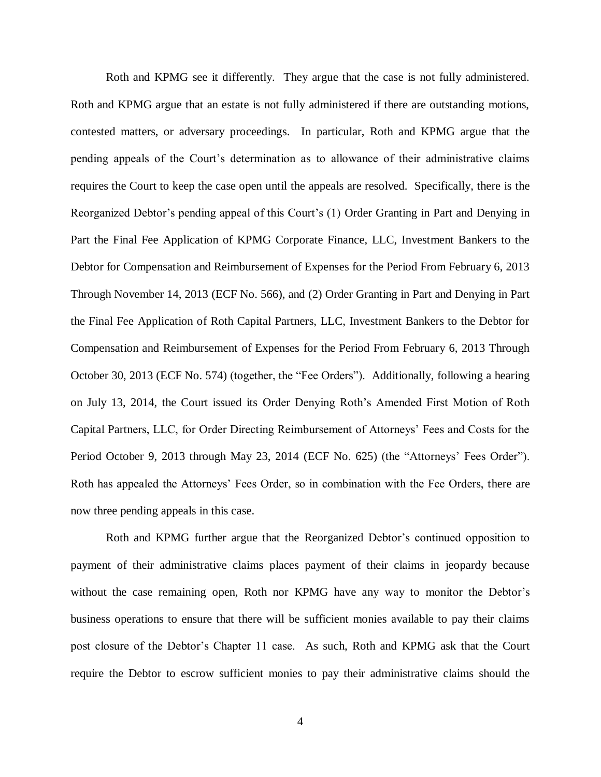Roth and KPMG see it differently. They argue that the case is not fully administered. Roth and KPMG argue that an estate is not fully administered if there are outstanding motions, contested matters, or adversary proceedings. In particular, Roth and KPMG argue that the pending appeals of the Court's determination as to allowance of their administrative claims requires the Court to keep the case open until the appeals are resolved. Specifically, there is the Reorganized Debtor's pending appeal of this Court's (1) Order Granting in Part and Denying in Part the Final Fee Application of KPMG Corporate Finance, LLC, Investment Bankers to the Debtor for Compensation and Reimbursement of Expenses for the Period From February 6, 2013 Through November 14, 2013 (ECF No. 566), and (2) Order Granting in Part and Denying in Part the Final Fee Application of Roth Capital Partners, LLC, Investment Bankers to the Debtor for Compensation and Reimbursement of Expenses for the Period From February 6, 2013 Through October 30, 2013 (ECF No. 574) (together, the "Fee Orders"). Additionally, following a hearing on July 13, 2014, the Court issued its Order Denying Roth's Amended First Motion of Roth Capital Partners, LLC, for Order Directing Reimbursement of Attorneys' Fees and Costs for the Period October 9, 2013 through May 23, 2014 (ECF No. 625) (the "Attorneys' Fees Order"). Roth has appealed the Attorneys' Fees Order, so in combination with the Fee Orders, there are now three pending appeals in this case.

Roth and KPMG further argue that the Reorganized Debtor's continued opposition to payment of their administrative claims places payment of their claims in jeopardy because without the case remaining open, Roth nor KPMG have any way to monitor the Debtor's business operations to ensure that there will be sufficient monies available to pay their claims post closure of the Debtor's Chapter 11 case. As such, Roth and KPMG ask that the Court require the Debtor to escrow sufficient monies to pay their administrative claims should the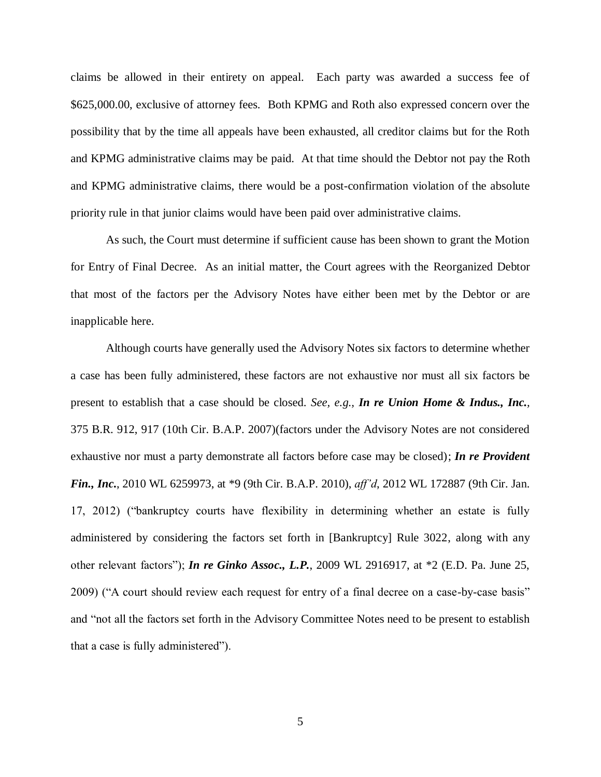claims be allowed in their entirety on appeal. Each party was awarded a success fee of \$625,000.00, exclusive of attorney fees. Both KPMG and Roth also expressed concern over the possibility that by the time all appeals have been exhausted, all creditor claims but for the Roth and KPMG administrative claims may be paid. At that time should the Debtor not pay the Roth and KPMG administrative claims, there would be a post-confirmation violation of the absolute priority rule in that junior claims would have been paid over administrative claims.

As such, the Court must determine if sufficient cause has been shown to grant the Motion for Entry of Final Decree. As an initial matter, the Court agrees with the Reorganized Debtor that most of the factors per the Advisory Notes have either been met by the Debtor or are inapplicable here.

Although courts have generally used the Advisory Notes six factors to determine whether a case has been fully administered, these factors are not exhaustive nor must all six factors be present to establish that a case should be closed. *See, e.g., In re Union Home & Indus., Inc.,*  375 B.R. 912, 917 (10th Cir. B.A.P. 2007)(factors under the Advisory Notes are not considered exhaustive nor must a party demonstrate all factors before case may be closed); *In re Provident Fin., Inc***.**, 2010 WL 6259973, at \*9 (9th Cir. B.A.P. 2010), *aff'd*, 2012 WL 172887 (9th Cir. Jan. 17, 2012) ("bankruptcy courts have flexibility in determining whether an estate is fully administered by considering the factors set forth in [Bankruptcy] Rule 3022, along with any other relevant factors"); *In re Ginko Assoc., L.P.*, 2009 WL 2916917, at \*2 (E.D. Pa. June 25, 2009) ("A court should review each request for entry of a final decree on a case-by-case basis" and "not all the factors set forth in the Advisory Committee Notes need to be present to establish that a case is fully administered").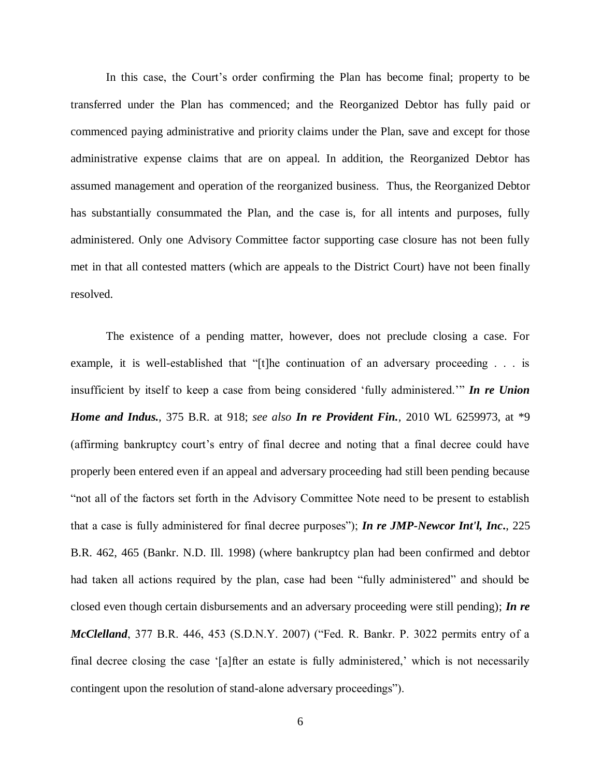In this case, the Court's order confirming the Plan has become final; property to be transferred under the Plan has commenced; and the Reorganized Debtor has fully paid or commenced paying administrative and priority claims under the Plan, save and except for those administrative expense claims that are on appeal. In addition, the Reorganized Debtor has assumed management and operation of the reorganized business. Thus, the Reorganized Debtor has substantially consummated the Plan, and the case is, for all intents and purposes, fully administered. Only one Advisory Committee factor supporting case closure has not been fully met in that all contested matters (which are appeals to the District Court) have not been finally resolved.

The existence of a pending matter, however, does not preclude closing a case. For example, it is well-established that "[t]he continuation of an adversary proceeding . . . is insufficient by itself to keep a case from being considered 'fully administered.'" *In re Union Home and Indus.,* 375 B.R. at 918; *see also In re Provident Fin.,* 2010 WL 6259973, at \*9 (affirming bankruptcy court's entry of final decree and noting that a final decree could have properly been entered even if an appeal and adversary proceeding had still been pending because "not all of the factors set forth in the Advisory Committee Note need to be present to establish that a case is fully administered for final decree purposes"); *In re JMP-Newcor Int'l, Inc***.**, 225 B.R. 462, 465 (Bankr. N.D. Ill. 1998) (where bankruptcy plan had been confirmed and debtor had taken all actions required by the plan, case had been "fully administered" and should be closed even though certain disbursements and an adversary proceeding were still pending); *In re McClelland*, 377 B.R. 446, 453 (S.D.N.Y. 2007) ("Fed. R. Bankr. P. 3022 permits entry of a final decree closing the case '[a]fter an estate is fully administered,' which is not necessarily contingent upon the resolution of stand-alone adversary proceedings").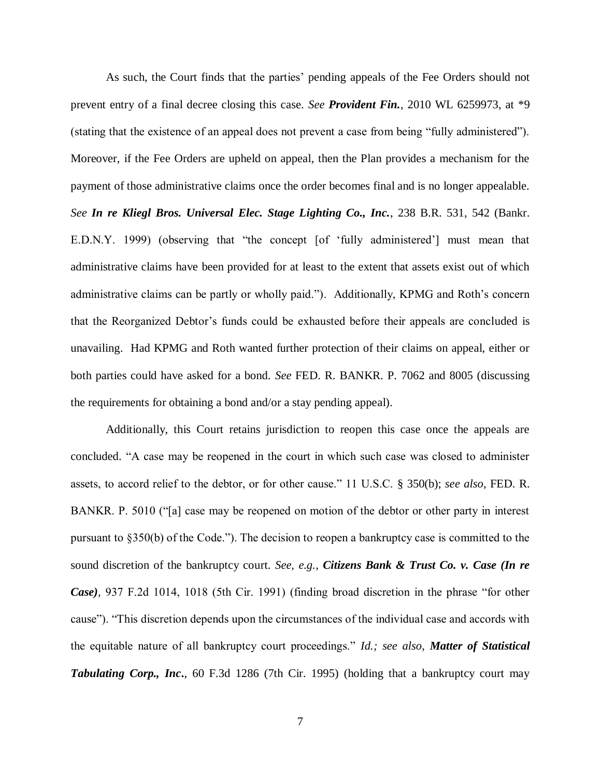As such, the Court finds that the parties' pending appeals of the Fee Orders should not prevent entry of a final decree closing this case. *See Provident Fin.*, 2010 WL 6259973, at \*9 (stating that the existence of an appeal does not prevent a case from being "fully administered"). Moreover, if the Fee Orders are upheld on appeal, then the Plan provides a mechanism for the payment of those administrative claims once the order becomes final and is no longer appealable. *See In re Kliegl Bros. Universal Elec. Stage Lighting Co., Inc.*, 238 B.R. 531, 542 (Bankr. E.D.N.Y. 1999) (observing that "the concept [of 'fully administered'] must mean that administrative claims have been provided for at least to the extent that assets exist out of which administrative claims can be partly or wholly paid."). Additionally, KPMG and Roth's concern that the Reorganized Debtor's funds could be exhausted before their appeals are concluded is unavailing. Had KPMG and Roth wanted further protection of their claims on appeal, either or both parties could have asked for a bond. *See* FED. R. BANKR. P. 7062 and 8005 (discussing the requirements for obtaining a bond and/or a stay pending appeal).

Additionally, this Court retains jurisdiction to reopen this case once the appeals are concluded. "A case may be reopened in the court in which such case was closed to administer assets, to accord relief to the debtor, or for other cause." 11 U.S.C. § 350(b); *see also*, FED. R. BANKR. P. 5010 ("[a] case may be reopened on motion of the debtor or other party in interest pursuant to §350(b) of the Code."). The decision to reopen a bankruptcy case is committed to the sound discretion of the bankruptcy court. *See, e.g.*, *Citizens Bank & Trust Co. v. Case (In re Case),* 937 F.2d 1014, 1018 (5th Cir. 1991) (finding broad discretion in the phrase "for other cause"). "This discretion depends upon the circumstances of the individual case and accords with the equitable nature of all bankruptcy court proceedings." *Id.; see also, Matter of Statistical*  **Tabulating Corp., Inc.,** 60 F.3d 1286 (7th Cir. 1995) (holding that a bankruptcy court may